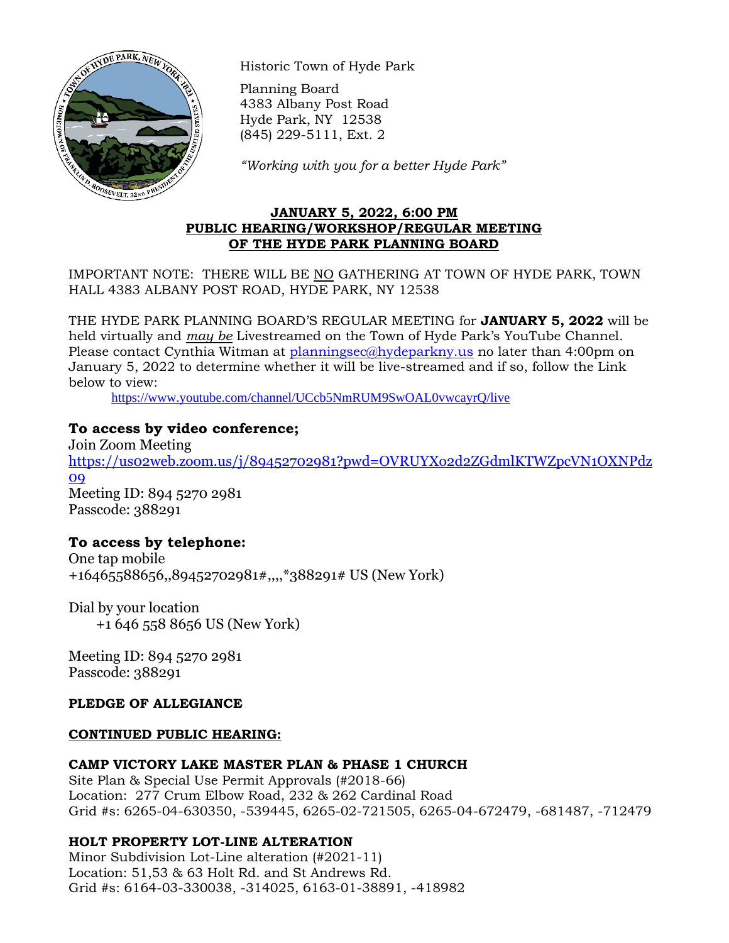

Historic Town of Hyde Park

Planning Board 4383 Albany Post Road Hyde Park, NY 12538 (845) 229-5111, Ext. 2

*"Working with you for a better Hyde Park"*

### **JANUARY 5, 2022, 6:00 PM PUBLIC HEARING/WORKSHOP/REGULAR MEETING OF THE HYDE PARK PLANNING BOARD**

IMPORTANT NOTE: THERE WILL BE NO GATHERING AT TOWN OF HYDE PARK, TOWN HALL 4383 ALBANY POST ROAD, HYDE PARK, NY 12538

THE HYDE PARK PLANNING BOARD'S REGULAR MEETING for **JANUARY 5, 2022** will be held virtually and *may be* Livestreamed on the Town of Hyde Park's YouTube Channel. Please contact Cynthia Witman at [planningsec@hydeparkny.us](mailto:planningsec@hydeparkny.us) no later than 4:00pm on January 5, 2022 to determine whether it will be live-streamed and if so, follow the Link below to view:

<https://www.youtube.com/channel/UCcb5NmRUM9SwOAL0vwcayrQ/live>

# **To access by video conference;**

Join Zoom Meeting [https://us02web.zoom.us/j/89452702981?pwd=OVRUYXo2d2ZGdmlKTWZpcVN1OXNPdz](https://us02web.zoom.us/j/89452702981?pwd=OVRUYXo2d2ZGdmlKTWZpcVN1OXNPdz09) [09](https://us02web.zoom.us/j/89452702981?pwd=OVRUYXo2d2ZGdmlKTWZpcVN1OXNPdz09) Meeting ID: 894 5270 2981 Passcode: 388291

# **To access by telephone:**

One tap mobile +16465588656,,89452702981#,,,,\*388291# US (New York)

Dial by your location +1 646 558 8656 US (New York)

Meeting ID: 894 5270 2981 Passcode: 388291

# **PLEDGE OF ALLEGIANCE**

# **CONTINUED PUBLIC HEARING:**

# **CAMP VICTORY LAKE MASTER PLAN & PHASE 1 CHURCH**

Site Plan & Special Use Permit Approvals (#2018-66) Location: 277 Crum Elbow Road, 232 & 262 Cardinal Road Grid #s: 6265-04-630350, -539445, 6265-02-721505, 6265-04-672479, -681487, -712479

# **HOLT PROPERTY LOT-LINE ALTERATION**

Minor Subdivision Lot-Line alteration (#2021-11) Location: 51,53 & 63 Holt Rd. and St Andrews Rd. Grid #s: 6164-03-330038, -314025, 6163-01-38891, -418982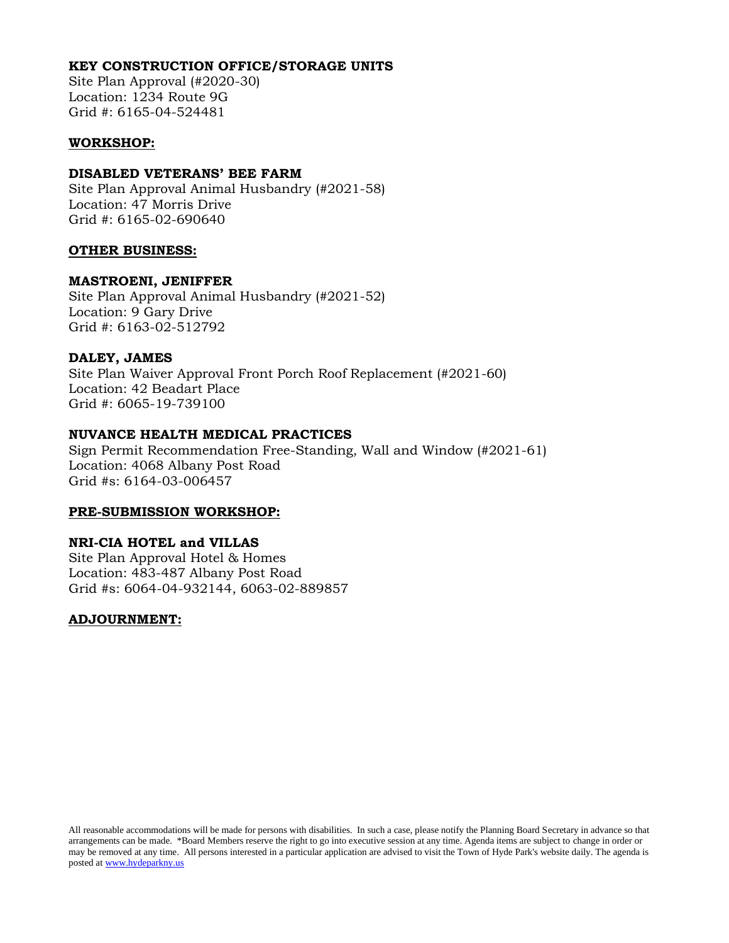#### **KEY CONSTRUCTION OFFICE/STORAGE UNITS**

Site Plan Approval (#2020-30) Location: 1234 Route 9G Grid #: 6165-04-524481

#### **WORKSHOP:**

#### **DISABLED VETERANS' BEE FARM**

Site Plan Approval Animal Husbandry (#2021-58) Location: 47 Morris Drive Grid #: 6165-02-690640

#### **OTHER BUSINESS:**

#### **MASTROENI, JENIFFER**

Site Plan Approval Animal Husbandry (#2021-52) Location: 9 Gary Drive Grid #: 6163-02-512792

#### **DALEY, JAMES**

Site Plan Waiver Approval Front Porch Roof Replacement (#2021-60) Location: 42 Beadart Place Grid #: 6065-19-739100

### **NUVANCE HEALTH MEDICAL PRACTICES**

Sign Permit Recommendation Free-Standing, Wall and Window (#2021-61) Location: 4068 Albany Post Road Grid #s: 6164-03-006457

#### **PRE-SUBMISSION WORKSHOP:**

### **NRI-CIA HOTEL and VILLAS**

Site Plan Approval Hotel & Homes Location: 483-487 Albany Post Road Grid #s: 6064-04-932144, 6063-02-889857

### **ADJOURNMENT:**